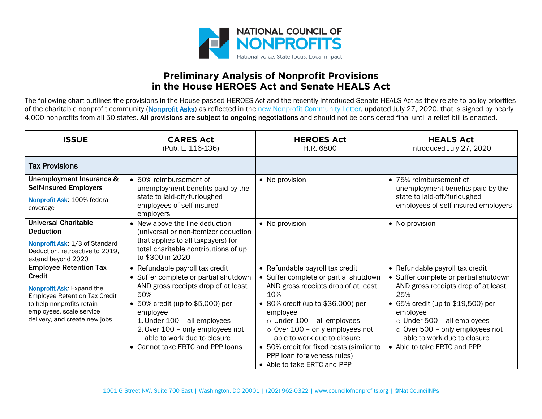

## **Preliminary Analysis of Nonprofit Provisions in the House HEROES Act and Senate HEALS Act**

The following chart outlines the provisions in the House-passed HEROES Act and the recently introduced Senate HEALS Act as they relate to policy priorities of the charitable nonprofit community (Nonprofit Asks) as reflected in the [new Nonprofit Community Letter,](https://www.councilofnonprofits.org/sites/default/files/documents/nonprofit-community-letter-7-13-2020.pdf) updated July 27, 2020, that is signed by nearly 4,000 nonprofits from all 50 states. All provisions are subject to ongoing negotiations and should not be considered final until a relief bill is enacted.

| <b>ISSUE</b>                                                                                                                                                                                                  | <b>CARES Act</b><br>(Pub. L. 116-136)                                                                                                                                                                                                                                                                         | <b>HEROES Act</b><br>H.R. 6800                                                                                                                                                                                                                                                                                                                                                                 | <b>HEALS Act</b><br>Introduced July 27, 2020                                                                                                                                                                                                                                                                        |
|---------------------------------------------------------------------------------------------------------------------------------------------------------------------------------------------------------------|---------------------------------------------------------------------------------------------------------------------------------------------------------------------------------------------------------------------------------------------------------------------------------------------------------------|------------------------------------------------------------------------------------------------------------------------------------------------------------------------------------------------------------------------------------------------------------------------------------------------------------------------------------------------------------------------------------------------|---------------------------------------------------------------------------------------------------------------------------------------------------------------------------------------------------------------------------------------------------------------------------------------------------------------------|
| <b>Tax Provisions</b>                                                                                                                                                                                         |                                                                                                                                                                                                                                                                                                               |                                                                                                                                                                                                                                                                                                                                                                                                |                                                                                                                                                                                                                                                                                                                     |
| Unemployment Insurance &<br><b>Self-Insured Employers</b><br>Nonprofit Ask: 100% federal<br>coverage                                                                                                          | • 50% reimbursement of<br>unemployment benefits paid by the<br>state to laid-off/furloughed<br>employees of self-insured<br>employers                                                                                                                                                                         | • No provision                                                                                                                                                                                                                                                                                                                                                                                 | • 75% reimbursement of<br>unemployment benefits paid by the<br>state to laid-off/furloughed<br>employees of self-insured employers                                                                                                                                                                                  |
| <b>Universal Charitable</b><br><b>Deduction</b><br>Nonprofit Ask: 1/3 of Standard<br>Deduction, retroactive to 2019,<br>extend beyond 2020                                                                    | • New above-the-line deduction<br>(universal or non-itemizer deduction<br>that applies to all taxpayers) for<br>total charitable contributions of up<br>to \$300 in 2020                                                                                                                                      | • No provision                                                                                                                                                                                                                                                                                                                                                                                 | • No provision                                                                                                                                                                                                                                                                                                      |
| <b>Employee Retention Tax</b><br><b>Credit</b><br>Nonprofit Ask: Expand the<br><b>Employee Retention Tax Credit</b><br>to help nonprofits retain<br>employees, scale service<br>delivery, and create new jobs | • Refundable payroll tax credit<br>• Suffer complete or partial shutdown<br>AND gross receipts drop of at least<br>50%<br>• 50% credit (up to \$5,000) per<br>employee<br>1. Under 100 - all employees<br>2. Over 100 - only employees not<br>able to work due to closure<br>• Cannot take ERTC and PPP loans | • Refundable payroll tax credit<br>• Suffer complete or partial shutdown<br>AND gross receipts drop of at least<br>10%<br>• 80% credit (up to \$36,000) per<br>employee<br>$\circ$ Under 100 - all employees<br>$\circ$ Over 100 - only employees not<br>able to work due to closure<br>• 50% credit for fixed costs (similar to<br>PPP loan forgiveness rules)<br>• Able to take ERTC and PPP | • Refundable payroll tax credit<br>• Suffer complete or partial shutdown<br>AND gross receipts drop of at least<br>25%<br>• 65% credit (up to \$19,500) per<br>employee<br>$\circ$ Under 500 - all employees<br>$\circ$ Over 500 - only employees not<br>able to work due to closure<br>• Able to take ERTC and PPP |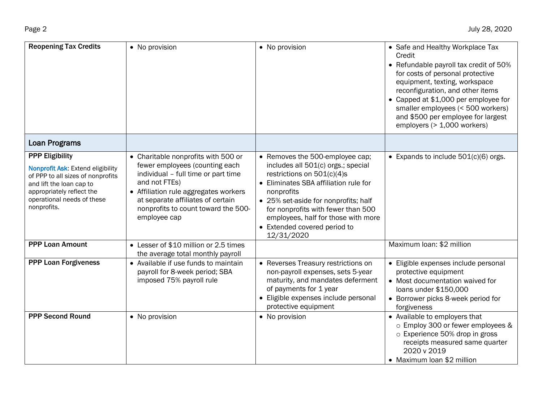| <b>Reopening Tax Credits</b>                                                                                                                                                                           | • No provision                                                                                                                                                                                                                                                     | • No provision                                                                                                                                                                                                                                                                                                                  | • Safe and Healthy Workplace Tax<br>Credit<br>• Refundable payroll tax credit of 50%<br>for costs of personal protective<br>equipment, texting, workspace<br>reconfiguration, and other items<br>• Capped at \$1,000 per employee for<br>smaller employees (< 500 workers)<br>and \$500 per employee for largest<br>employers (> 1,000 workers) |
|--------------------------------------------------------------------------------------------------------------------------------------------------------------------------------------------------------|--------------------------------------------------------------------------------------------------------------------------------------------------------------------------------------------------------------------------------------------------------------------|---------------------------------------------------------------------------------------------------------------------------------------------------------------------------------------------------------------------------------------------------------------------------------------------------------------------------------|-------------------------------------------------------------------------------------------------------------------------------------------------------------------------------------------------------------------------------------------------------------------------------------------------------------------------------------------------|
| <b>Loan Programs</b>                                                                                                                                                                                   |                                                                                                                                                                                                                                                                    |                                                                                                                                                                                                                                                                                                                                 |                                                                                                                                                                                                                                                                                                                                                 |
| <b>PPP Eligibility</b><br>Nonprofit Ask: Extend eligibility<br>of PPP to all sizes of nonprofits<br>and lift the loan cap to<br>appropriately reflect the<br>operational needs of these<br>nonprofits. | • Charitable nonprofits with 500 or<br>fewer employees (counting each<br>individual - full time or part time<br>and not FTEs)<br>• Affiliation rule aggregates workers<br>at separate affiliates of certain<br>nonprofits to count toward the 500-<br>employee cap | • Removes the 500-employee cap;<br>includes all 501(c) orgs.; special<br>restrictions on $501(c)(4)s$<br>• Eliminates SBA affiliation rule for<br>nonprofits<br>• 25% set-aside for nonprofits; half<br>for nonprofits with fewer than 500<br>employees, half for those with more<br>• Extended covered period to<br>12/31/2020 | • Expands to include $501(c)(6)$ orgs.                                                                                                                                                                                                                                                                                                          |
| <b>PPP Loan Amount</b>                                                                                                                                                                                 | • Lesser of \$10 million or 2.5 times<br>the average total monthly payroll                                                                                                                                                                                         |                                                                                                                                                                                                                                                                                                                                 | Maximum Ioan: \$2 million                                                                                                                                                                                                                                                                                                                       |
| <b>PPP Loan Forgiveness</b>                                                                                                                                                                            | • Available if use funds to maintain<br>payroll for 8-week period; SBA<br>imposed 75% payroll rule                                                                                                                                                                 | • Reverses Treasury restrictions on<br>non-payroll expenses, sets 5-year<br>maturity, and mandates deferment<br>of payments for 1 year<br>• Eligible expenses include personal<br>protective equipment                                                                                                                          | • Eligible expenses include personal<br>protective equipment<br>• Most documentation waived for<br>loans under \$150,000<br>• Borrower picks 8-week period for<br>forgiveness                                                                                                                                                                   |
| <b>PPP Second Round</b>                                                                                                                                                                                | • No provision                                                                                                                                                                                                                                                     | • No provision                                                                                                                                                                                                                                                                                                                  | • Available to employers that<br>o Employ 300 or fewer employees &<br>o Experience 50% drop in gross<br>receipts measured same quarter<br>2020 v 2019<br>• Maximum Ioan \$2 million                                                                                                                                                             |